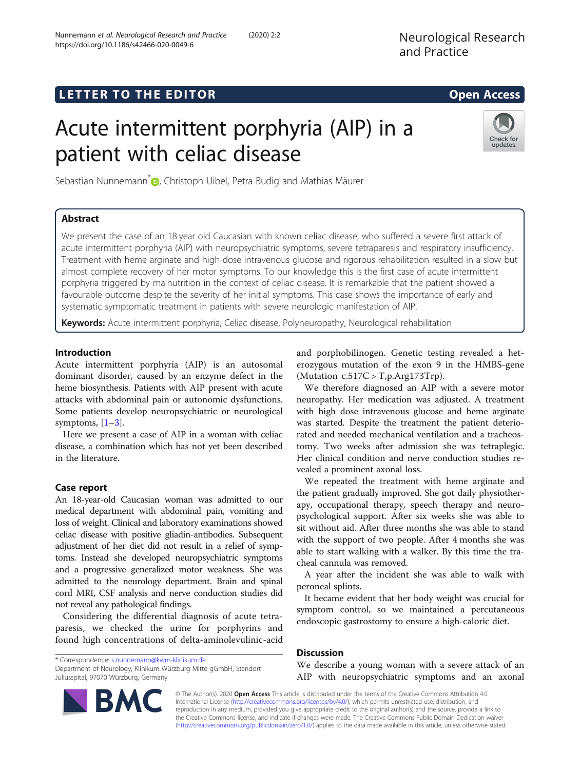# **LETTER TO THE EDITOR CONSIDERING ACCESS**

# Acute intermittent porphyria (AIP) in a patient with celiac disease

Sebastian Nunnemann<sup>\*</sup> <sub>(D</sub>[,](http://orcid.org/0000-0001-9250-983X) Christoph Uibel, Petra Budig and Mathias Mäurer

# Abstract

We present the case of an 18 year old Caucasian with known celiac disease, who suffered a severe first attack of acute intermittent porphyria (AIP) with neuropsychiatric symptoms, severe tetraparesis and respiratory insufficiency. Treatment with heme arginate and high-dose intravenous glucose and rigorous rehabilitation resulted in a slow but almost complete recovery of her motor symptoms. To our knowledge this is the first case of acute intermittent porphyria triggered by malnutrition in the context of celiac disease. It is remarkable that the patient showed a favourable outcome despite the severity of her initial symptoms. This case shows the importance of early and systematic symptomatic treatment in patients with severe neurologic manifestation of AIP.

Keywords: Acute intermittent porphyria, Celiac disease, Polyneuropathy, Neurological rehabilitation

## Introduction

Acute intermittent porphyria (AIP) is an autosomal dominant disorder, caused by an enzyme defect in the heme biosynthesis. Patients with AIP present with acute attacks with abdominal pain or autonomic dysfunctions. Some patients develop neuropsychiatric or neurological symptoms,  $[1-3]$  $[1-3]$  $[1-3]$  $[1-3]$ .

Here we present a case of AIP in a woman with celiac disease, a combination which has not yet been described in the literature.

## Case report

An 18-year-old Caucasian woman was admitted to our medical department with abdominal pain, vomiting and loss of weight. Clinical and laboratory examinations showed celiac disease with positive gliadin-antibodies. Subsequent adjustment of her diet did not result in a relief of symptoms. Instead she developed neuropsychiatric symptoms and a progressive generalized motor weakness. She was admitted to the neurology department. Brain and spinal cord MRI, CSF analysis and nerve conduction studies did not reveal any pathological findings.

Considering the differential diagnosis of acute tetraparesis, we checked the urine for porphyrins and found high concentrations of delta-aminolevulinic-acid

\* Correspondence: [s.nunnemann@kwm-klinikum.de](mailto:s.nunnemann@kwm-klinikum.de)

Department of Neurology, Klinikum Würzburg Mitte gGmbH, Standort Juliusspital, 97070 Würzburg, Germany

and porphobilinogen. Genetic testing revealed a heterozygous mutation of the exon 9 in the HMBS-gene (Mutation  $c.517C > T$ , p. Arg173Trp).

We therefore diagnosed an AIP with a severe motor neuropathy. Her medication was adjusted. A treatment with high dose intravenous glucose and heme arginate was started. Despite the treatment the patient deteriorated and needed mechanical ventilation and a tracheostomy. Two weeks after admission she was tetraplegic. Her clinical condition and nerve conduction studies revealed a prominent axonal loss.

We repeated the treatment with heme arginate and the patient gradually improved. She got daily physiotherapy, occupational therapy, speech therapy and neuropsychological support. After six weeks she was able to sit without aid. After three months she was able to stand with the support of two people. After 4 months she was able to start walking with a walker. By this time the tracheal cannula was removed.

A year after the incident she was able to walk with peroneal splints.

It became evident that her body weight was crucial for symptom control, so we maintained a percutaneous endoscopic gastrostomy to ensure a high-caloric diet.

### **Discussion**

We describe a young woman with a severe attack of an AIP with neuropsychiatric symptoms and an axonal

© The Author(s). 2020 Open Access This article is distributed under the terms of the Creative Commons Attribution 4.0 International License [\(http://creativecommons.org/licenses/by/4.0/](http://creativecommons.org/licenses/by/4.0/)), which permits unrestricted use, distribution, and reproduction in any medium, provided you give appropriate credit to the original author(s) and the source, provide a link to the Creative Commons license, and indicate if changes were made. The Creative Commons Public Domain Dedication waiver [\(http://creativecommons.org/publicdomain/zero/1.0/](http://creativecommons.org/publicdomain/zero/1.0/)) applies to the data made available in this article, unless otherwise stated.